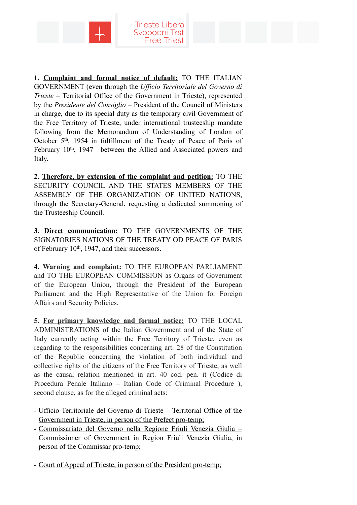



**1. Complaint and formal notice of default:** TO THE ITALIAN GOVERNMENT (even through the *Ufficio Territoriale del Governo di Trieste* – Territorial Office of the Government in Trieste), represented by the *Presidente del Consiglio* – President of the Council of Ministers in charge, due to its special duty as the temporary civil Government of the Free Territory of Trieste, under international trusteeship mandate following from the Memorandum of Understanding of London of October 5th, 1954 in fulfillment of the Treaty of Peace of Paris of February 10<sup>th</sup>, 1947 between the Allied and Associated powers and Italy.

**2. Therefore, by extension of the complaint and petition:** TO THE SECURITY COUNCIL AND THE STATES MEMBERS OF THE ASSEMBLY OF THE ORGANIZATION OF UNITED NATIONS, through the Secretary-General, requesting a dedicated summoning of the Trusteeship Council.

**3. Direct communication:** TO THE GOVERNMENTS OF THE SIGNATORIES NATIONS OF THE TREATY OD PEACE OF PARIS of February 10<sup>th</sup>, 1947, and their successors.

**4. Warning and complaint:** TO THE EUROPEAN PARLIAMENT and TO THE EUROPEAN COMMISSION as Organs of Government of the European Union, through the President of the European Parliament and the High Representative of the Union for Foreign Affairs and Security Policies.

**5. For primary knowledge and formal notice:** TO THE LOCAL ADMINISTRATIONS of the Italian Government and of the State of Italy currently acting within the Free Territory of Trieste, even as regarding to the responsibilities concerning art. 28 of the Constitution of the Republic concerning the violation of both individual and collective rights of the citizens of the Free Territory of Trieste, as well as the causal relation mentioned in art. 40 cod. pen. it (Codice di Procedura Penale Italiano – Italian Code of Criminal Procedure ), second clause, as for the alleged criminal acts:

- Ufficio Territoriale del Governo di Trieste Territorial Office of the Government in Trieste, in person of the Prefect pro-temp;
- Commissariato del Governo nella Regione Friuli Venezia Giulia Commissioner of Government in Region Friuli Venezia Giulia, in person of the Commissar pro-temp;
- Court of Appeal of Trieste, in person of the President pro-temp;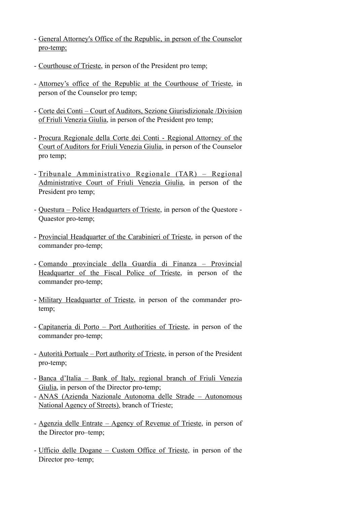- General Attorney's Office of the Republic, in person of the Counselor pro-temp;
- Courthouse of Trieste, in person of the President pro temp;
- Attorney's office of the Republic at the Courthouse of Trieste, in person of the Counselor pro temp;
- Corte dei Conti Court of Auditors, Sezione Giurisdizionale /Division of Friuli Venezia Giulia, in person of the President pro temp;
- Procura Regionale della Corte dei Conti Regional Attorney of the Court of Auditors for Friuli Venezia Giulia, in person of the Counselor pro temp;
- Tribunale Amministrativo Regionale (TAR) Regional Administrative Court of Friuli Venezia Giulia, in person of the President pro temp;
- Questura Police Headquarters of Trieste, in person of the Questore Quaestor pro-temp;
- Provincial Headquarter of the Carabinieri of Trieste, in person of the commander pro-temp;
- Comando provinciale della Guardia di Finanza Provincial Headquarter of the Fiscal Police of Trieste, in person of the commander pro-temp;
- Military Headquarter of Trieste, in person of the commander protemp;
- Capitaneria di Porto Port Authorities of Trieste, in person of the commander pro-temp;
- Autorità Portuale Port authority of Trieste, in person of the President pro-temp;
- Banca d'Italia Bank of Italy, regional branch of Friuli Venezia Giulia, in person of the Director pro-temp;
- ANAS (Azienda Nazionale Autonoma delle Strade Autonomous National Agency of Streets), branch of Trieste;
- Agenzia delle Entrate Agency of Revenue of Trieste, in person of the Director pro–temp;
- Ufficio delle Dogane Custom Office of Trieste, in person of the Director pro–temp;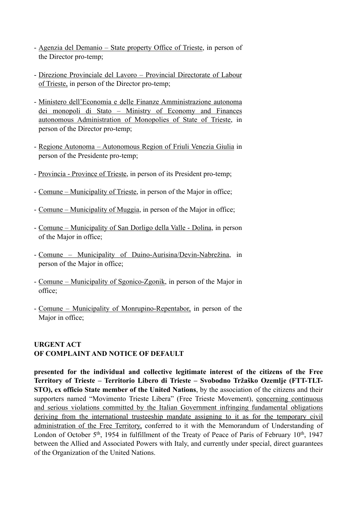- Agenzia del Demanio State property Office of Trieste, in person of the Director pro-temp;
- Direzione Provinciale del Lavoro Provincial Directorate of Labour of Trieste, in person of the Director pro-temp;
- Ministero dell'Economia e delle Finanze Amministrazione autonoma dei monopoli di Stato – Ministry of Economy and Finances autonomous Administration of Monopolies of State of Trieste, in person of the Director pro-temp;
- Regione Autonoma Autonomous Region of Friuli Venezia Giulia in person of the Presidente pro-temp;
- *-* Provincia Province of Trieste, in person of its President pro-temp;
- Comune Municipality of Trieste, in person of the Major in office;
- Comune Municipality of Muggia, in person of the Major in office;
- Comune Municipality of San Dorligo della Valle Dolina, in person of the Major in office;
- Comune Municipality of Duino-Aurisina/Devin-Nabrežina, in person of the Major in office;
- Comune Municipality of Sgonico-Zgonik, in person of the Major in office;
- Comune Municipality of Monrupino-Repentabor, in person of the Major in office;

### **URGENT ACT OF COMPLAINT AND NOTICE OF DEFAULT**

**presented for the individual and collective legitimate interest of the citizens of the Free Territory of Trieste – Territorio Libero di Trieste – Svobodno Tržaško Ozemlje (FTT-TLT-STO), ex officio State member of the United Nations**, by the association of the citizens and their supporters named "Movimento Trieste Libera" (Free Trieste Movement), concerning continuous and serious violations committed by the Italian Government infringing fundamental obligations deriving from the international trusteeship mandate assigning to it as for the temporary civil administration of the Free Territory, conferred to it with the Memorandum of Understanding of London of October 5<sup>th</sup>, 1954 in fulfillment of the Treaty of Peace of Paris of February  $10^{th}$ , 1947 between the Allied and Associated Powers with Italy, and currently under special, direct guarantees of the Organization of the United Nations.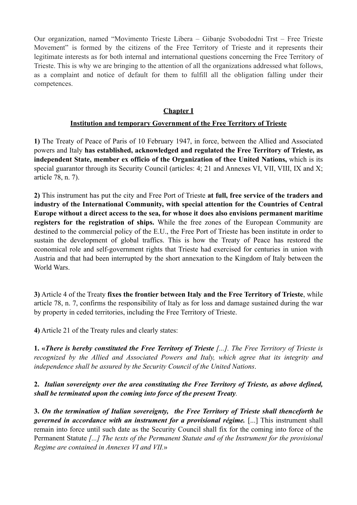Our organization, named "Movimento Trieste Libera – Gibanje Svobododni Trst – Free Trieste Movement" is formed by the citizens of the Free Territory of Trieste and it represents their legitimate interests as for both internal and international questions concerning the Free Territory of Trieste. This is why we are bringing to the attention of all the organizations addressed what follows, as a complaint and notice of default for them to fulfill all the obligation falling under their competences.

### **Chapter I**

#### **Institution and temporary Government of the Free Territory of Trieste**

**1)** The Treaty of Peace of Paris of 10 February 1947, in force, between the Allied and Associated powers and Italy **has established, acknowledged and regulated the Free Territory of Trieste, as independent State, member ex officio of the Organization of thee United Nations,** which is its special guarantor through its Security Council (articles: 4; 21 and Annexes VI, VII, VIII, IX and X; article 78, n. 7).

**2)** This instrument has put the city and Free Port of Trieste **at full, free service of the traders and industry of the International Community, with special attention for the Countries of Central Europe without a direct access to the sea, for whose it does also envisions permanent maritime registers for the registration of ships.** While the free zones of the European Community are destined to the commercial policy of the E.U., the Free Port of Trieste has been institute in order to sustain the development of global traffics. This is how the Treaty of Peace has restored the economical role and self-government rights that Trieste had exercised for centuries in union with Austria and that had been interrupted by the short annexation to the Kingdom of Italy between the World Wars.

**3)** Article 4 of the Treaty **fixes the frontier between Italy and the Free Territory of Trieste**, while article 78, n. 7, confirms the responsibility of Italy as for loss and damage sustained during the war by property in ceded territories, including the Free Territory of Trieste.

**4)** Article 21 of the Treaty rules and clearly states:

**1. «***There is hereby constituted the Free Territory of Trieste [...]. The Free Territory of Trieste is recognized by the Allied and Associated Powers and Italy, which agree that its integrity and independence shall be assured by the Security Council of the United Nations*.

**2.** *Italian sovereignty over the area constituting the Free Territory of Trieste, as above defined, shall be terminated upon the coming into force of the present Treaty.* 

**3.** *On the termination of Italian sovereignty, the Free Territory of Trieste shall thenceforth be governed in accordance with an instrument for a provisional régime.* [...] This instrument shall remain into force until such date as the Security Council shall fix for the coming into force of the Permanent Statute *[...] The texts of the Permanent Statute and of the Instrument for the provisional Regime are contained in Annexes VI and VII.*»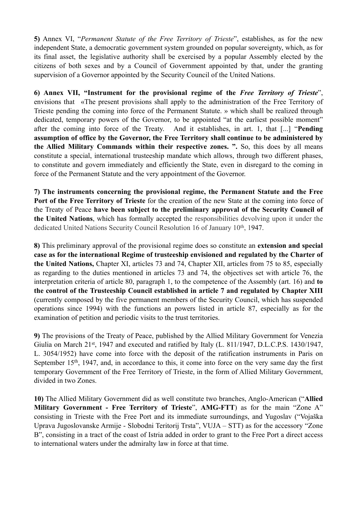**5)** Annex VI, "*Permanent Statute of the Free Territory of Trieste*", establishes, as for the new independent State, a democratic government system grounded on popular sovereignty, which, as for its final asset, the legislative authority shall be exercised by a popular Assembly elected by the citizens of both sexes and by a Council of Government appointed by that, under the granting supervision of a Governor appointed by the Security Council of the United Nations.

**6) Annex VII, "Instrument for the provisional regime of the** *Free Territory of Trieste*", envisions that «The present provisions shall apply to the administration of the Free Territory of Trieste pending the coming into force of the Permanent Statute. » which shall be realized through dedicated, temporary powers of the Governor, to be appointed "at the earliest possible moment" after the coming into force of the Treaty. And it establishes, in art. 1, that [...] "**Pending assumption of office by the Governor, the Free Territory shall continue to be administered by the Allied Military Commands within their respective zones. ".** So, this does by all means constitute a special, international trusteeship mandate which allows, through two different phases, to constitute and govern immediately and efficiently the State, even in disregard to the coming in force of the Permanent Statute and the very appointment of the Governor.

**7) The instruments concerning the provisional regime, the Permanent Statute and the Free Port of the Free Territory of Trieste** for the creation of the new State at the coming into force of the Treaty of Peace **have been subject to the preliminary approval of the Security Council of the United Nations**, which has formally accepted the responsibilities devolving upon it under the dedicated United Nations Security Council Resolution 16 of January 10th, 1947.

**8)** This preliminary approval of the provisional regime does so constitute an **extension and special case as for the international Regime of trusteeship envisioned and regulated by the Charter of the United Nations,** Chapter XI, articles 73 and 74, Chapter XII, articles from 75 to 85, especially as regarding to the duties mentioned in articles 73 and 74, the objectives set with article 76, the interpretation criteria of article 80, paragraph 1, to the competence of the Assembly (art. 16) and **to the control of the Trusteeship Council established in article 7 and regulated by Chapter XIII**  (currently composed by the five permanent members of the Security Council, which has suspended operations since 1994) with the functions an powers listed in article 87, especially as for the examination of petition and periodic visits to the trust territories.

**9)** The provisions of the Treaty of Peace, published by the Allied Military Government for Venezia Giulia on March 21<sup>st</sup>, 1947 and executed and ratified by Italy (L. 811/1947, D.L.C.P.S. 1430/1947, L. 3054/1952) have come into force with the deposit of the ratification instruments in Paris on September 15<sup>th</sup>, 1947, and, in accordance to this, it come into force on the very same day the first temporary Government of the Free Territory of Trieste, in the form of Allied Military Government, divided in two Zones.

**10)** The Allied Military Government did as well constitute two branches, Anglo-American ("**Allied Military Government - Free Territory of Trieste**", **AMG-FTT**) as for the main "Zone A" consisting in Trieste with the Free Port and its immediate surroundings, and Yugoslav ("Vojaška Uprava Jugoslovanske Armije - Slobodni Teritorij Trsta", VUJA – STT) as for the accessory "Zone B", consisting in a tract of the coast of Istria added in order to grant to the Free Port a direct access to international waters under the admiralty law in force at that time.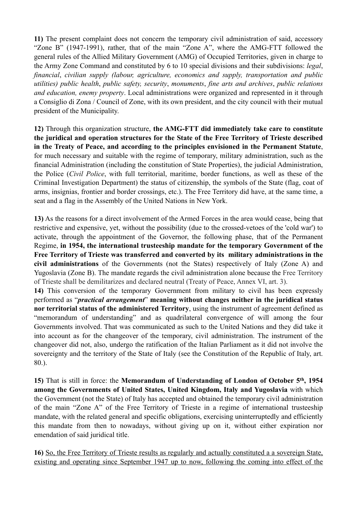**11)** The present complaint does not concern the temporary civil administration of said, accessory "Zone B" (1947-1991), rather, that of the main "Zone A", where the AMG-FTT followed the general rules of the Allied Military Government (AMG) of Occupied Territories, given in charge to the Army Zone Command and constituted by 6 to 10 special divisions and their subdivisions: *legal*, *financial*, *civilian supply (labour, agriculture, economics and supply, transportation and public utilities) public health*, *public safety, security*, *monuments*, *fine arts and archives*, *public relations and education, enemy property*. Local administrations were organized and represented in it through a Consiglio di Zona / Council of Zone, with its own president, and the city council with their mutual president of the Municipality.

**12)** Through this organization structure, **the AMG-FTT did immediately take care to constitute the juridical and operation structures for the State of the Free Territory of Trieste described in the Treaty of Peace, and according to the principles envisioned in the Permanent Statute**, for much necessary and suitable with the regime of temporary, military administration, such as the financial Administration (including the constitution of State Properties), the judicial Administration, the Police (*Civil Police*, with full territorial, maritime, border functions, as well as these of the Criminal Investigation Department) the status of citizenship, the symbols of the State (flag, coat of arms, insignias, frontier and border crossings, etc.). The Free Territory did have, at the same time, a seat and a flag in the Assembly of the United Nations in New York.

**13)** As the reasons for a direct involvement of the Armed Forces in the area would cease, being that restrictive and expensive, yet, without the possibility (due to the crossed-vetoes of the 'cold war') to activate, through the appointment of the Governor, the following phase, that of the Permanent Regime, **in 1954, the international trusteeship mandate for the temporary Government of the Free Territory of Trieste was transferred and converted by its military administrations in the civil administrations** of the Governments (not the States) respectively of Italy (Zone A) and Yugoslavia (Zone B). The mandate regards the civil administration alone because the Free Territory of Trieste shall be demilitarizes and declared neutral (Treaty of Peace, Annex VI, art. 3).

**14)** This conversion of the temporary Government from military to civil has been expressly performed as "*practical arrangement*" **meaning without changes neither in the juridical status nor territorial status of the administered Territory**, using the instrument of agreement defined as "memorandum of understanding" and as quadrilateral convergence of will among the four Governments involved. That was communicated as such to the United Nations and they did take it into account as for the changeover of the temporary, civil administration. The instrument of the changeover did not, also, undergo the ratification of the Italian Parliament as it did not involve the sovereignty and the territory of the State of Italy (see the Constitution of the Republic of Italy, art. 80.).

**15)** That is still in force: the **Memorandum of Understanding of London of October 5th, 1954 among the Governments of United States, United Kingdom, Italy and Yugoslavia** with which the Government (not the State) of Italy has accepted and obtained the temporary civil administration of the main "Zone A" of the Free Territory of Trieste in a regime of international trusteeship mandate, with the related general and specific obligations, exercising uninterruptedly and efficiently this mandate from then to nowadays, without giving up on it, without either expiration nor emendation of said juridical title.

**16)** So, the Free Territory of Trieste results as regularly and actually constituted a a sovereign State, existing and operating since September 1947 up to now, following the coming into effect of the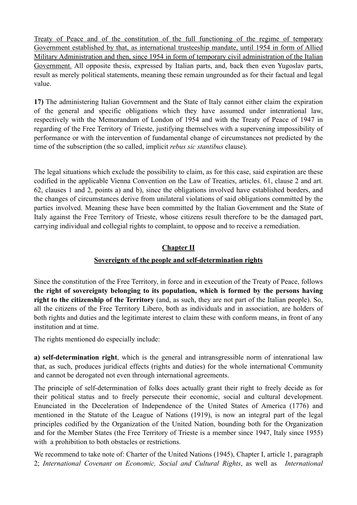Treaty of Peace and of the constitution of the full functioning of the regime of temporary Government established by that, as international trusteeship mandate, until 1954 in form of Allied Military Administration and then, since 1954 in form of temporary civil administration of the Italian Government. All opposite thesis, expressed by Italian parts, and, back then even Yugoslav parts, result as merely political statements, meaning these remain ungrounded as for their factual and legal value.

**17)** The administering Italian Government and the State of Italy cannot either claim the expiration of the general and specific obligations which they have assumed under intenrational law, respectively with the Memorandum of London of 1954 and with the Treaty of Peace of 1947 in regarding of the Free Territory of Trieste, justifying themselves with a supervening impossibility of performance or with the intervention of fundamental change of circumstances not predicted by the time of the subscription (the so called, implicit *rebus sic stantibus* clause).

The legal situations which exclude the possibility to claim, as for this case, said expiration are these codified in the applicable Vienna Convention on the Law of Treaties, articles. 61, clause 2 and art. 62, clauses 1 and 2, points a) and b), since the obligations involved have established borders, and the changes of circumstances derive from unilateral violations of said obligations committed by the parties involved. Meaning these have been committed by the Italian Government and the State of Italy against the Free Territory of Trieste, whose citizens result therefore to be the damaged part, carrying individual and collegial rights to complaint, to oppose and to receive a remediation.

### **Chapter II**

# **Sovereignty of the people and self-determination rights**

Since the constitution of the Free Territory, in force and in execution of the Treaty of Peace, follows **the right of sovereignty belonging to its population, which is formed by the persons having right to the citizenship of the Territory** (and, as such, they are not part of the Italian people). So, all the citizens of the Free Territory Libero, both as individuals and in association, are holders of both rights and duties and the legitimate interest to claim these with conform means, in front of any institution and at time.

The rights mentioned do especially include:

**a) self-determination right**, which is the general and intransgressible norm of intenrational law that, as such, produces juridical effects (rights and duties) for the whole international Community and cannot be derogated not even through international agreements.

The principle of self-determination of folks does actually grant their right to freely decide as for their political status and to freely persecute their economic, social and cultural development. Enunciated in the Deceleration of Independence of the United States of America (1776) and mentioned in the Statute of the League of Nations (1919), is now an integral part of the legal principles codified by the Organization of the United Nation, bounding both for the Organization and for the Member States (the Free Territory of Trieste is a member since 1947, Italy since 1955) with a prohibition to both obstacles or restrictions.

We recommend to take note of: Charter of the United Nations (1945), Chapter I, article 1, paragraph 2; *International Covenant on Economic, Social and Cultural Rights*, as well as *International*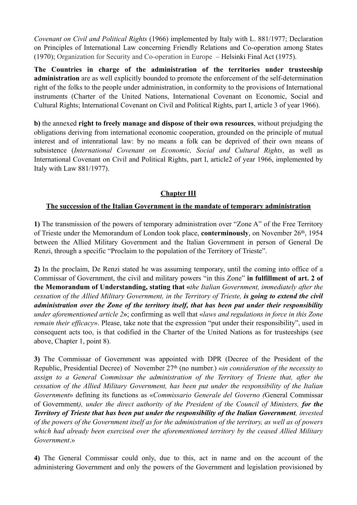*Covenant on Civil and Political Rights* (1966) implemented by Italy with L. 881/1977; Declaration on Principles of International Law concerning Friendly Relations and Co-operation among States (1970); Organization for Security and Co-operation in Europe – Helsinki Final Act (1975).

**The Countries in charge of the administration of the territories under trusteeship administration** are as well explicitly bounded to promote the enforcement of the self-determination right of the folks to the people under administration, in conformity to the provisions of International instruments (Charter of the United Nations, International Covenant on Economic, Social and Cultural Rights; International Covenant on Civil and Political Rights, part I, article 3 of year 1966).

**b)** the annexed **right to freely manage and dispose of their own resources**, without prejudging the obligations deriving from international economic cooperation, grounded on the principle of mutual interest and of intenrational law: by no means a folk can be deprived of their own means of subsistence (*International Covenant on Economic, Social and Cultural Rights*, as well as International Covenant on Civil and Political Rights, part I, article2 of year 1966, implemented by Italy with Law 881/1977).

# **Chapter III**

#### **The succession of the Italian Government in the mandate of temporary administration**

**1)** The transmission of the powers of temporary administration over "Zone A" of the Free Territory of Trieste under the Memorandum of London took place, **conterminously**, on November 26th, 1954 between the Allied Military Government and the Italian Government in person of General De Renzi, through a specific "Proclaim to the population of the Territory of Trieste".

**2)** In the proclaim, De Renzi stated he was assuming temporary, until the coming into office of a Commissar of Government, the civil and military powers "in this Zone" **in fulfillment of art. 2 of the Memorandum of Understanding, stating that «***the Italian Government, immediately after the cessation of the Allied Military Government, in the Territory of Trieste, is going to extend the civil administration over the Zone of the territory itself, that has been put under their responsibility under aforementioned article 2***»**; confirming as well that «*laws and regulations in force in this Zone remain their efficacy*». Please, take note that the expression "put under their responsibility", used in consequent acts too, is that codified in the Charter of the United Nations as for trusteeships (see above, Chapter 1, point 8).

**3)** The Commissar of Government was appointed with DPR (Decree of the President of the Republic, Presidential Decree) of November 27th (no number.) «*in consideration of the necessity to assign to a General Commissar the administration of the Territory of Trieste that, after the cessation of the Allied Military Government, has been put under the responsibility of the Italian Government*» defining its functions as «*Commissario Generale del Governo (*General Commissar of Government*), under the direct authority of the President of the Council of Ministers, for the Territory of Trieste that has been put under the responsibility of the Italian Government, invested of the powers of the Government itself as for the administration of the territory, as well as of powers which had already been exercised over the aforementioned territory by the ceased Allied Military Government*.»

**4)** The General Commissar could only, due to this, act in name and on the account of the administering Government and only the powers of the Government and legislation provisioned by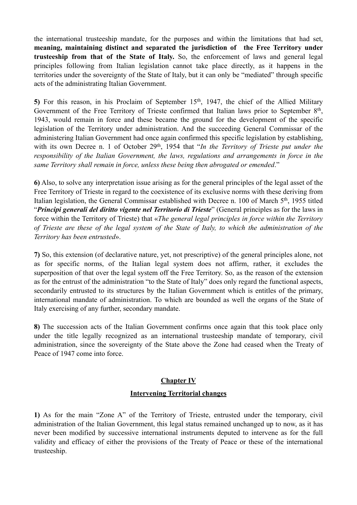the international trusteeship mandate, for the purposes and within the limitations that had set, **meaning, maintaining distinct and separated the jurisdiction of the Free Territory under trusteeship from that of the State of Italy.** So, the enforcement of laws and general legal principles following from Italian legislation cannot take place directly, as it happens in the territories under the sovereignty of the State of Italy, but it can only be "mediated" through specific acts of the administrating Italian Government.

5) For this reason, in his Proclaim of September 15<sup>th</sup>, 1947, the chief of the Allied Military Government of the Free Territory of Trieste confirmed that Italian laws prior to September 8<sup>th</sup>, 1943, would remain in force and these became the ground for the development of the specific legislation of the Territory under administration. And the succeeding General Commissar of the administering Italian Government had once again confirmed this specific legislation by establishing, with its own Decree n. 1 of October 29<sup>th</sup>, 1954 that "*In the Territory of Trieste put under the responsibility of the Italian Government, the laws, regulations and arrangements in force in the same Territory shall remain in force, unless these being then abrogated or emended*."

**6)** Also, to solve any interpretation issue arising as for the general principles of the legal asset of the Free Territory of Trieste in regard to the coexistence of its exclusive norms with these deriving from Italian legislation, the General Commissar established with Decree n. 100 of March 5th, 1955 titled "*Principi generali del diritto vigente nel Territorio di Trieste*" (General principles as for the laws in force within the Territory of Trieste) that «*The general legal principles in force within the Territory of Trieste are these of the legal system of the State of Italy, to which the administration of the Territory has been entrusted*».

**7)** So, this extension (of declarative nature, yet, not prescriptive) of the general principles alone, not as for specific norms, of the Italian legal system does not affirm, rather, it excludes the superposition of that over the legal system off the Free Territory. So, as the reason of the extension as for the entrust of the administration "to the State of Italy" does only regard the functional aspects, secondarily entrusted to its structures by the Italian Government which is entitles of the primary, international mandate of administration. To which are bounded as well the organs of the State of Italy exercising of any further, secondary mandate.

**8)** The succession acts of the Italian Government confirms once again that this took place only under the title legally recognized as an international trusteeship mandate of temporary, civil administration, since the sovereignty of the State above the Zone had ceased when the Treaty of Peace of 1947 come into force.

# **Chapter IV**

# **Intervening Territorial changes**

**1)** As for the main "Zone A" of the Territory of Trieste, entrusted under the temporary, civil administration of the Italian Government, this legal status remained unchanged up to now, as it has never been modified by successive international instruments deputed to intervene as for the full validity and efficacy of either the provisions of the Treaty of Peace or these of the international trusteeship.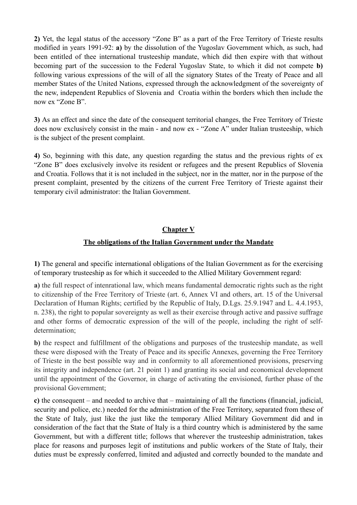**2)** Yet, the legal status of the accessory "Zone B" as a part of the Free Territory of Trieste results modified in years 1991-92: **a)** by the dissolution of the Yugoslav Government which, as such, had been entitled of thee international trusteeship mandate, which did then expire with that without becoming part of the succession to the Federal Yugoslav State, to which it did not compete **b)** following various expressions of the will of all the signatory States of the Treaty of Peace and all member States of the United Nations, expressed through the acknowledgment of the sovereignty of the new, independent Republics of Slovenia and Croatia within the borders which then include the now ex "Zone B".

**3)** As an effect and since the date of the consequent territorial changes, the Free Territory of Trieste does now exclusively consist in the main - and now ex - "Zone A" under Italian trusteeship, which is the subject of the present complaint.

**4)** So, beginning with this date, any question regarding the status and the previous rights of ex "Zone B" does exclusively involve its resident or refugees and the present Republics of Slovenia and Croatia. Follows that it is not included in the subject, nor in the matter, nor in the purpose of the present complaint, presented by the citizens of the current Free Territory of Trieste against their temporary civil administrator: the Italian Government.

# **Chapter V**

# **The obligations of the Italian Government under the Mandate**

**1)** The general and specific international obligations of the Italian Government as for the exercising of temporary trusteeship as for which it succeeded to the Allied Military Government regard:

**a)** the full respect of intenrational law, which means fundamental democratic rights such as the right to citizenship of the Free Territory of Trieste (art. 6, Annex VI and others, art. 15 of the Universal Declaration of Human Rights; certified by the Republic of Italy, D.Lgs. 25.9.1947 and L. 4.4.1953, n. 238), the right to popular sovereignty as well as their exercise through active and passive suffrage and other forms of democratic expression of the will of the people, including the right of selfdetermination;

**b)** the respect and fulfillment of the obligations and purposes of the trusteeship mandate, as well these were disposed with the Treaty of Peace and its specific Annexes, governing the Free Territory of Trieste in the best possible way and in conformity to all aforementioned provisions, preserving its integrity and independence (art. 21 point 1) and granting its social and economical development until the appointment of the Governor, in charge of activating the envisioned, further phase of the provisional Government;

**c)** the consequent – and needed to archive that – maintaining of all the functions (financial, judicial, security and police, etc.) needed for the administration of the Free Territory, separated from these of the State of Italy, just like the just like the temporary Allied Military Government did and in consideration of the fact that the State of Italy is a third country which is administered by the same Government, but with a different title; follows that wherever the trusteeship administration, takes place for reasons and purposes legit of institutions and public workers of the State of Italy, their duties must be expressly conferred, limited and adjusted and correctly bounded to the mandate and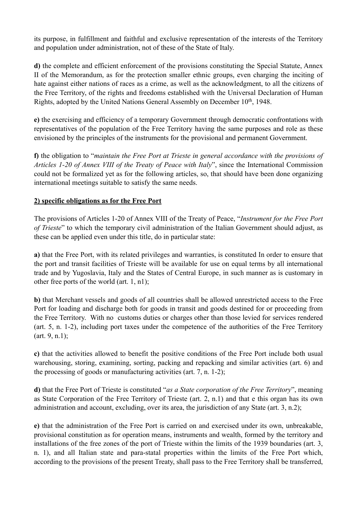its purpose, in fulfillment and faithful and exclusive representation of the interests of the Territory and population under administration, not of these of the State of Italy.

**d)** the complete and efficient enforcement of the provisions constituting the Special Statute, Annex II of the Memorandum, as for the protection smaller ethnic groups, even charging the inciting of hate against either nations of races as a crime, as well as the acknowledgment, to all the citizens of the Free Territory, of the rights and freedoms established with the Universal Declaration of Human Rights, adopted by the United Nations General Assembly on December 10th, 1948.

**e)** the exercising and efficiency of a temporary Government through democratic confrontations with representatives of the population of the Free Territory having the same purposes and role as these envisioned by the principles of the instruments for the provisional and permanent Government.

**f)** the obligation to "*maintain the Free Port at Trieste in general accordance with the provisions of Articles 1-20 of Annex VIII of the Treaty of Peace with Italy*", since the International Commission could not be formalized yet as for the following articles, so, that should have been done organizing international meetings suitable to satisfy the same needs.

### **2) specific obligations as for the Free Port**

The provisions of Articles 1-20 of Annex VIII of the Treaty of Peace, "*Instrument for the Free Port of Trieste*" to which the temporary civil administration of the Italian Government should adjust, as these can be applied even under this title, do in particular state:

**a)** that the Free Port, with its related privileges and warranties, is constituted In order to ensure that the port and transit facilities of Trieste will be available for use on equal terms by all international trade and by Yugoslavia, Italy and the States of Central Europe, in such manner as is customary in other free ports of the world (art. 1, n1);

**b)** that Merchant vessels and goods of all countries shall be allowed unrestricted access to the Free Port for loading and discharge both for goods in transit and goods destined for or proceeding from the Free Territory. With no customs duties or charges other than those levied for services rendered (art. 5, n. 1-2), including port taxes under the competence of the authorities of the Free Territory (art. 9, n.1);

**c)** that the activities allowed to benefit the positive conditions of the Free Port include both usual warehousing, storing, examining, sorting, packing and repacking and similar activities (art. 6) and the processing of goods or manufacturing activities (art. 7, n. 1-2);

**d)** that the Free Port of Trieste is constituted "*as a State corporation of the Free Territory*", meaning as State Corporation of the Free Territory of Trieste (art. 2, n.1) and that e this organ has its own administration and account, excluding, over its area, the jurisdiction of any State (art. 3, n.2);

**e)** that the administration of the Free Port is carried on and exercised under its own, unbreakable, provisional constitution as for operation means, instruments and wealth, formed by the territory and installations of the free zones of the port of Trieste within the limits of the 1939 boundaries (art. 3, n. 1), and all Italian state and para-statal properties within the limits of the Free Port which, according to the provisions of the present Treaty, shall pass to the Free Territory shall be transferred,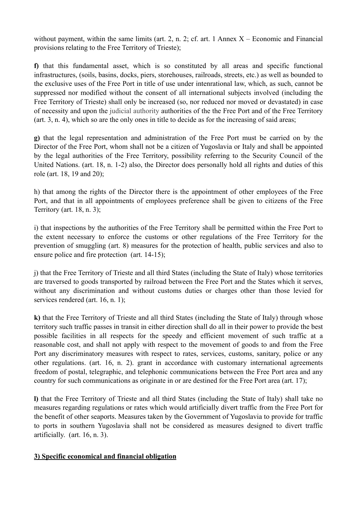without payment, within the same limits (art. 2, n. 2; cf. art. 1 Annex  $X -$  Economic and Financial provisions relating to the Free Territory of Trieste);

**f)** that this fundamental asset, which is so constituted by all areas and specific functional infrastructures, (soils, basins, docks, piers, storehouses, railroads, streets, etc.) as well as bounded to the exclusive uses of the Free Port in title of use under intenrational law, which, as such, cannot be suppressed nor modified without the consent of all international subjects involved (including the Free Territory of Trieste) shall only be increased (so, nor reduced nor moved or devastated) in case of necessity and upon the judicial authority authorities of the the Free Port and of the Free Territory (art. 3, n. 4), which so are the only ones in title to decide as for the increasing of said areas;

**g)** that the legal representation and administration of the Free Port must be carried on by the Director of the Free Port, whom shall not be a citizen of Yugoslavia or Italy and shall be appointed by the legal authorities of the Free Territory, possibility referring to the Security Council of the United Nations. (art. 18, n. 1-2) also, the Director does personally hold all rights and duties of this role (art. 18, 19 and 20);

h) that among the rights of the Director there is the appointment of other employees of the Free Port, and that in all appointments of employees preference shall be given to citizens of the Free Territory (art. 18, n. 3);

i) that inspections by the authorities of the Free Territory shall be permitted within the Free Port to the extent necessary to enforce the customs or other regulations of the Free Territory for the prevention of smuggling (art. 8) measures for the protection of health, public services and also to ensure police and fire protection (art. 14-15);

j) that the Free Territory of Trieste and all third States (including the State of Italy) whose territories are traversed to goods transported by railroad between the Free Port and the States which it serves, without any discrimination and without customs duties or charges other than those levied for services rendered (art. 16, n. 1);

**k)** that the Free Territory of Trieste and all third States (including the State of Italy) through whose territory such traffic passes in transit in either direction shall do all in their power to provide the best possible facilities in all respects for the speedy and efficient movement of such traffic at a reasonable cost, and shall not apply with respect to the movement of goods to and from the Free Port any discriminatory measures with respect to rates, services, customs, sanitary, police or any other regulations. (art. 16, n. 2). grant in accordance with customary international agreements freedom of postal, telegraphic, and telephonic communications between the Free Port area and any country for such communications as originate in or are destined for the Free Port area (art. 17);

**l)** that the Free Territory of Trieste and all third States (including the State of Italy) shall take no measures regarding regulations or rates which would artificially divert traffic from the Free Port for the benefit of other seaports. Measures taken by the Government of Yugoslavia to provide for traffic to ports in southern Yugoslavia shall not be considered as measures designed to divert traffic artificially. (art. 16, n. 3).

#### **3) Specific economical and financial obligation**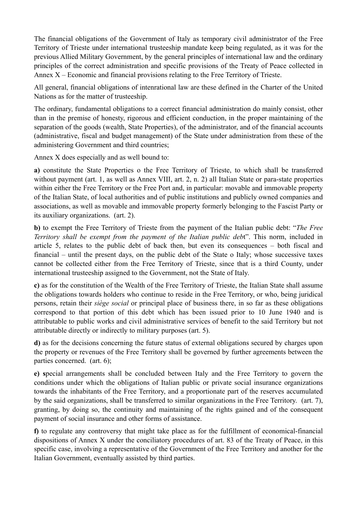The financial obligations of the Government of Italy as temporary civil administrator of the Free Territory of Trieste under international trusteeship mandate keep being regulated, as it was for the previous Allied Military Government, by the general principles of international law and the ordinary principles of the correct administration and specific provisions of the Treaty of Peace collected in Annex X – Economic and financial provisions relating to the Free Territory of Trieste.

All general, financial obligations of intenrational law are these defined in the Charter of the United Nations as for the matter of trusteeship.

The ordinary, fundamental obligations to a correct financial administration do mainly consist, other than in the premise of honesty, rigorous and efficient conduction, in the proper maintaining of the separation of the goods (wealth, State Properties), of the administrator, and of the financial accounts (administrative, fiscal and budget management) of the State under administration from these of the administering Government and third countries;

Annex X does especially and as well bound to:

**a)** constitute the State Properties o the Free Territory of Trieste, to which shall be transferred without payment (art. 1, as well as Annex VIII, art. 2, n. 2) all Italian State or para-state properties within either the Free Territory or the Free Port and, in particular: movable and immovable property of the Italian State, of local authorities and of public institutions and publicly owned companies and associations, as well as movable and immovable property formerly belonging to the Fascist Party or its auxiliary organizations. (art. 2).

**b)** to exempt the Free Territory of Trieste from the payment of the Italian public debt: "*The Free Territory shall be exempt from the payment of the Italian public deb*t". This norm, included in article 5, relates to the public debt of back then, but even its consequences – both fiscal and financial – until the present days, on the public debt of the State o Italy; whose successive taxes cannot be collected either from the Free Territory of Trieste, since that is a third County, under international trusteeship assigned to the Government, not the State of Italy.

**c)** as for the constitution of the Wealth of the Free Territory of Trieste, the Italian State shall assume the obligations towards holders who continue to reside in the Free Territory, or who, being juridical persons, retain their *siège social* or principal place of business there, in so far as these obligations correspond to that portion of this debt which has been issued prior to 10 June 1940 and is attributable to public works and civil administrative services of benefit to the said Territory but not attributable directly or indirectly to military purposes (art. 5).

**d)** as for the decisions concerning the future status of external obligations secured by charges upon the property or revenues of the Free Territory shall be governed by further agreements between the parties concerned. (art. 6);

**e) s**pecial arrangements shall be concluded between Italy and the Free Territory to govern the conditions under which the obligations of Italian public or private social insurance organizations towards the inhabitants of the Free Territory, and a proportionate part of the reserves accumulated by the said organizations, shall be transferred to similar organizations in the Free Territory. (art. 7), granting, by doing so, the continuity and maintaining of the rights gained and of the consequent payment of social insurance and other forms of assistance.

**f)** to regulate any controversy that might take place as for the fulfillment of economical-financial dispositions of Annex X under the conciliatory procedures of art. 83 of the Treaty of Peace, in this specific case, involving a representative of the Government of the Free Territory and another for the Italian Government, eventually assisted by third parties.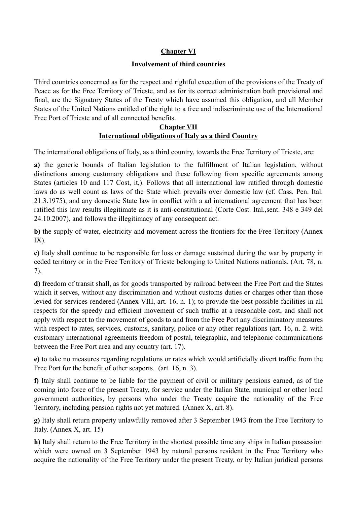# **Chapter VI**

#### **Involvement of third countries**

Third countries concerned as for the respect and rightful execution of the provisions of the Treaty of Peace as for the Free Territory of Trieste, and as for its correct administration both provisional and final, are the Signatory States of the Treaty which have assumed this obligation, and all Member States of the United Nations entitled of the right to a free and indiscriminate use of the International Free Port of Trieste and of all connected benefits.

### **Chapter VII International obligations of Italy as a third Country**

The international obligations of Italy, as a third country, towards the Free Territory of Trieste, are:

**a)** the generic bounds of Italian legislation to the fulfillment of Italian legislation, without distinctions among customary obligations and these following from specific agreements among States (articles 10 and 117 Cost, it,). Follows that all international law ratified through domestic laws do as well count as laws of the State which prevails over domestic law (cf. Cass. Pen. Ital. 21.3.1975), and any domestic State law in conflict with a ad international agreement that has been ratified this law results illegitimate as it is anti-constitutional (Corte Cost. Ital.,sent. 348 e 349 del 24.10.2007), and follows the illegitimacy of any consequent act.

**b)** the supply of water, electricity and movement across the frontiers for the Free Territory (Annex IX).

**c)** Italy shall continue to be responsible for loss or damage sustained during the war by property in ceded territory or in the Free Territory of Trieste belonging to United Nations nationals. (Art. 78, n. 7).

**d)** freedom of transit shall, as for goods transported by railroad between the Free Port and the States which it serves, without any discrimination and without customs duties or charges other than those levied for services rendered (Annex VIII, art. 16, n. 1); to provide the best possible facilities in all respects for the speedy and efficient movement of such traffic at a reasonable cost, and shall not apply with respect to the movement of goods to and from the Free Port any discriminatory measures with respect to rates, services, customs, sanitary, police or any other regulations (art. 16, n. 2. with customary international agreements freedom of postal, telegraphic, and telephonic communications between the Free Port area and any country (art. 17).

**e)** to take no measures regarding regulations or rates which would artificially divert traffic from the Free Port for the benefit of other seaports. (art. 16, n. 3).

**f)** Italy shall continue to be liable for the payment of civil or military pensions earned, as of the coming into force of the present Treaty, for service under the Italian State, municipal or other local government authorities, by persons who under the Treaty acquire the nationality of the Free Territory, including pension rights not yet matured. (Annex X, art. 8).

**g)** Italy shall return property unlawfully removed after 3 September 1943 from the Free Territory to Italy. (Annex X, art. 15)

**h)** Italy shall return to the Free Territory in the shortest possible time any ships in Italian possession which were owned on 3 September 1943 by natural persons resident in the Free Territory who acquire the nationality of the Free Territory under the present Treaty, or by Italian juridical persons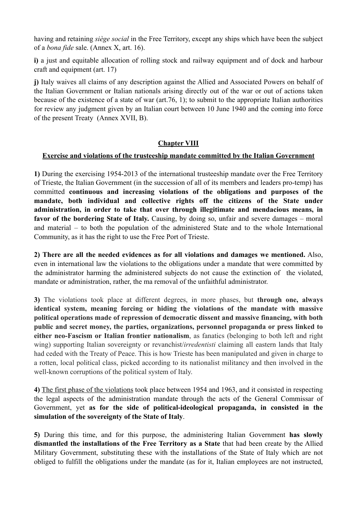having and retaining *siège social* in the Free Territory, except any ships which have been the subject of a *bona fide* sale. (Annex X, art. 16).

**i)** a just and equitable allocation of rolling stock and railway equipment and of dock and harbour craft and equipment (art. 17)

**j)** Italy waives all claims of any description against the Allied and Associated Powers on behalf of the Italian Government or Italian nationals arising directly out of the war or out of actions taken because of the existence of a state of war (art.76, 1); to submit to the appropriate Italian authorities for review any judgment given by an Italian court between 10 June 1940 and the coming into force of the present Treaty (Annex XVII, B).

# **Chapter VIII**

# **Exercise and violations of the trusteeship mandate committed by the Italian Government**

**1)** During the exercising 1954-2013 of the international trusteeship mandate over the Free Territory of Trieste, the Italian Government (in the succession of all of its members and leaders pro-temp) has committed **continuous and increasing violations of the obligations and purposes of the mandate, both individual and collective rights off the citizens of the State under administration, in order to take that over through illegitimate and mendacious means, in favor of the bordering State of Italy.** Causing, by doing so, unfair and severe damages – moral and material – to both the population of the administered State and to the whole International Community, as it has the right to use the Free Port of Trieste.

**2) There are all the needed evidences as for all violations and damages we mentioned.** Also, even in international law the violations to the obligations under a mandate that were committed by the administrator harming the administered subjects do not cause the extinction of the violated, mandate or administration, rather, the ma removal of the unfaithful administrator.

**3)** The violations took place at different degrees, in more phases, but **through one, always identical system, meaning forcing or hiding the violations of the mandate with massive political operations made of repression of democratic dissent and massive financing, with both public and secret money, the parties, organizations, personnel propaganda or press linked to either neo-Fascism or Italian frontier nationalism**, as fanatics (belonging to both left and right wing) supporting Italian sovereignty or revanchist/*irredentisti* claiming all eastern lands that Italy had ceded with the Treaty of Peace. This is how Trieste has been manipulated and given in charge to a rotten, local political class, picked according to its nationalist militancy and then involved in the well-known corruptions of the political system of Italy.

**4)** The first phase of the violations took place between 1954 and 1963, and it consisted in respecting the legal aspects of the administration mandate through the acts of the General Commissar of Government, yet **as for the side of political-ideological propaganda, in consisted in the simulation of the sovereignty of the State of Italy**.

**5)** During this time, and for this purpose, the administering Italian Government **has slowly dismantled the installations of the Free Territory as a State** that had been create by the Allied Military Government, substituting these with the installations of the State of Italy which are not obliged to fulfill the obligations under the mandate (as for it, Italian employees are not instructed,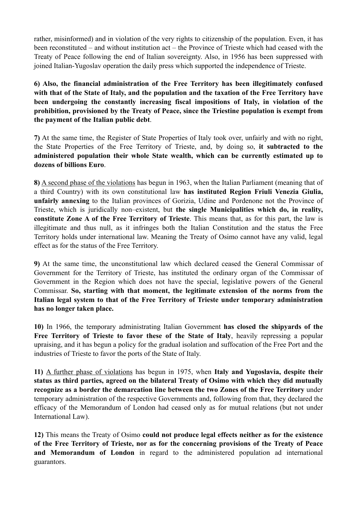rather, misinformed) and in violation of the very rights to citizenship of the population. Even, it has been reconstituted – and without institution act – the Province of Trieste which had ceased with the Treaty of Peace following the end of Italian sovereignty. Also, in 1956 has been suppressed with joined Italian-Yugoslav operation the daily press which supported the independence of Trieste.

**6) Also, the financial administration of the Free Territory has been illegitimately confused with that of the State of Italy, and the population and the taxation of the Free Territory have been undergoing the constantly increasing fiscal impositions of Italy, in violation of the prohibition, provisioned by the Treaty of Peace, since the Triestine population is exempt from the payment of the Italian public debt**.

**7)** At the same time, the Register of State Properties of Italy took over, unfairly and with no right, the State Properties of the Free Territory of Trieste, and, by doing so, **it subtracted to the administered population their whole State wealth, which can be currently estimated up to dozens of billions Euro**.

**8)** A second phase of the violations has begun in 1963, when the Italian Parliament (meaning that of a third Country) with its own constitutional law **has instituted Region Friuli Venezia Giulia, unfairly annexing** to the Italian provinces of Gorizia, Udine and Pordenone not the Province of Trieste, which is juridically non–existent, but **the single Municipalities which do, in reality, constitute Zone A of the Free Territory of Trieste**. This means that, as for this part, the law is illegitimate and thus null, as it infringes both the Italian Constitution and the status the Free Territory holds under international law. Meaning the Treaty of Osimo cannot have any valid, legal effect as for the status of the Free Territory.

**9)** At the same time, the unconstitutional law which declared ceased the General Commissar of Government for the Territory of Trieste, has instituted the ordinary organ of the Commissar of Government in the Region which does not have the special, legislative powers of the General Commissar. **So, starting with that moment, the legitimate extension of the norms from the Italian legal system to that of the Free Territory of Trieste under temporary administration has no longer taken place.** 

**10)** In 1966, the temporary administrating Italian Government **has closed the shipyards of the Free Territory of Trieste to favor these of the State of Italy**, heavily repressing a popular upraising, and it has begun a policy for the gradual isolation and suffocation of the Free Port and the industries of Trieste to favor the ports of the State of Italy.

**11)** A further phase of violations has begun in 1975, when **Italy and Yugoslavia, despite their status as third parties, agreed on the bilateral Treaty of Osimo with which they did mutually recognize as a border the demarcation line between the two Zones of the Free Territory** under temporary administration of the respective Governments and, following from that, they declared the efficacy of the Memorandum of London had ceased only as for mutual relations (but not under International Law).

**12)** This means the Treaty of Osimo **could not produce legal effects neither as for the existence of the Free Territory of Trieste, nor as for the concerning provisions of the Treaty of Peace and Memorandum of London** in regard to the administered population ad international guarantors.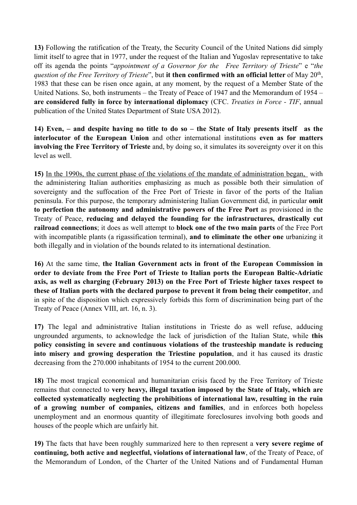**13)** Following the ratification of the Treaty, the Security Council of the United Nations did simply limit itself to agree that in 1977, under the request of the Italian and Yugoslav representative to take off its agenda the points "*appointment of a Governor for the Free Territory of Trieste*" e "*the question of the Free Territory of Trieste*", but **it then confirmed with an official letter** of May 20<sup>th</sup>, 1983 that these can be risen once again, at any moment, by the request of a Member State of the United Nations. So, both instruments – the Treaty of Peace of 1947 and the Memorandum of 1954 – **are considered fully in force by international diplomacy** (CFC. *Treaties in Force - TIF*, annual publication of the United States Department of State USA 2012).

**14) Even, – and despite having no title to do so – the State of Italy presents itself as the interlocutor of the European Union** and other international institutions **even as for matters involving the Free Territory of Trieste** and, by doing so, it simulates its sovereignty over it on this level as well.

**15)** In the 1990s, the current phase of the violations of the mandate of administration began, with the administering Italian authorities emphasizing as much as possible both their simulation of sovereignty and the suffocation of the Free Port of Trieste in favor of the ports of the Italian peninsula. For this purpose, the temporary administering Italian Government did, in particular **omit to perfection the autonomy and administrative powers of the Free Port** as provisioned in the Treaty of Peace, **reducing and delayed the founding for the infrastructures, drastically cut railroad connections**; it does as well attempt to **block one of the two main parts** of the Free Port with incompatible plants (a rigassification terminal), **and to eliminate the other one** urbanizing it both illegally and in violation of the bounds related to its international destination.

**16)** At the same time, **the Italian Government acts in front of the European Commission in order to deviate from the Free Port of Trieste to Italian ports the European Baltic-Adriatic axis, as well as charging (February 2013) on the Free Port of Trieste higher taxes respect to these of Italian ports with the declared purpose to prevent it from being their competitor**, and in spite of the disposition which expressively forbids this form of discrimination being part of the Treaty of Peace (Annex VIII, art. 16, n. 3).

**17)** The legal and administrative Italian institutions in Trieste do as well refuse, adducing ungrounded arguments, to acknowledge the lack of jurisdiction of the Italian State, while **this policy consisting in severe and continuous violations of the trusteeship mandate is reducing into misery and growing desperation the Triestine population**, and it has caused its drastic decreasing from the 270.000 inhabitants of 1954 to the current 200.000.

**18)** The most tragical economical and humanitarian crisis faced by the Free Territory of Trieste remains that connected to **very heavy, illegal taxation imposed by the State of Italy, which are collected systematically neglecting the prohibitions of international law, resulting in the ruin of a growing number of companies, citizens and families**, and in enforces both hopeless unemployment and an enormous quantity of illegitimate foreclosures involving both goods and houses of the people which are unfairly hit.

**19)** The facts that have been roughly summarized here to then represent a **very severe regime of continuing, both active and neglectful, violations of international law**, of the Treaty of Peace, of the Memorandum of London, of the Charter of the United Nations and of Fundamental Human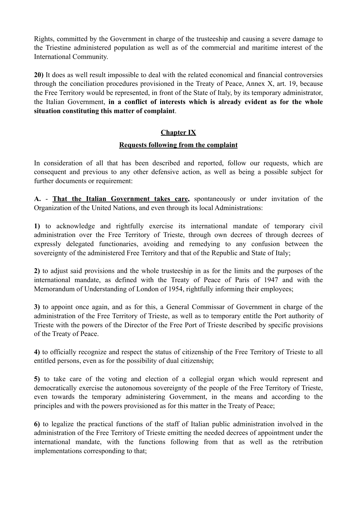Rights, committed by the Government in charge of the trusteeship and causing a severe damage to the Triestine administered population as well as of the commercial and maritime interest of the International Community.

**20)** It does as well result impossible to deal with the related economical and financial controversies through the conciliation procedures provisioned in the Treaty of Peace, Annex X, art. 19, because the Free Territory would be represented, in front of the State of Italy, by its temporary administrator, the Italian Government, **in a conflict of interests which is already evident as for the whole situation constituting this matter of complaint**.

### **Chapter IX**

### **Requests following from the complaint**

In consideration of all that has been described and reported, follow our requests, which are consequent and previous to any other defensive action, as well as being a possible subject for further documents or requirement:

**A.** - **That the Italian Government takes care,** spontaneously or under invitation of the Organization of the United Nations, and even through its local Administrations:

**1)** to acknowledge and rightfully exercise its international mandate of temporary civil administration over the Free Territory of Trieste, through own decrees of through decrees of expressly delegated functionaries, avoiding and remedying to any confusion between the sovereignty of the administered Free Territory and that of the Republic and State of Italy;

**2)** to adjust said provisions and the whole trusteeship in as for the limits and the purposes of the international mandate, as defined with the Treaty of Peace of Paris of 1947 and with the Memorandum of Understanding of London of 1954, rightfully informing their employees;

**3)** to appoint once again, and as for this, a General Commissar of Government in charge of the administration of the Free Territory of Trieste, as well as to temporary entitle the Port authority of Trieste with the powers of the Director of the Free Port of Trieste described by specific provisions of the Treaty of Peace.

**4)** to officially recognize and respect the status of citizenship of the Free Territory of Trieste to all entitled persons, even as for the possibility of dual citizenship;

**5)** to take care of the voting and election of a collegial organ which would represent and democratically exercise the autonomous sovereignty of the people of the Free Territory of Trieste, even towards the temporary administering Government, in the means and according to the principles and with the powers provisioned as for this matter in the Treaty of Peace;

**6)** to legalize the practical functions of the staff of Italian public administration involved in the administration of the Free Territory of Trieste emitting the needed decrees of appointment under the international mandate, with the functions following from that as well as the retribution implementations corresponding to that;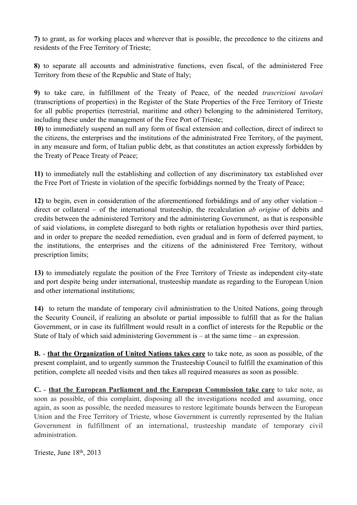**7)** to grant, as for working places and wherever that is possible, the precedence to the citizens and residents of the Free Territory of Trieste;

**8)** to separate all accounts and administrative functions, even fiscal, of the administered Free Territory from these of the Republic and State of Italy;

**9)** to take care, in fulfillment of the Treaty of Peace, of the needed *trascrizioni tavolari* (transcriptions of properties) in the Register of the State Properties of the Free Territory of Trieste for all public properties (terrestrial, maritime and other) belonging to the administered Territory, including these under the management of the Free Port of Trieste;

**10)** to immediately suspend an null any form of fiscal extension and collection, direct of indirect to the citizens, the enterprises and the institutions of the administrated Free Territory, of the payment, in any measure and form, of Italian public debt, as that constitutes an action expressly forbidden by the Treaty of Peace Treaty of Peace;

**11)** to immediately null the establishing and collection of any discriminatory tax established over the Free Port of Trieste in violation of the specific forbiddings normed by the Treaty of Peace;

**12)** to begin, even in consideration of the aforementioned forbiddings and of any other violation – direct or collateral – of the international trusteeship, the recalculation *ab origine* of debits and credits between the administered Territory and the administering Government, as that is responsible of said violations, in complete disregard to both rights or retaliation hypothesis over third parties, and in order to prepare the needed remediation, even gradual and in form of deferred payment, to the institutions, the enterprises and the citizens of the administered Free Territory, without prescription limits;

**13)** to immediately regulate the position of the Free Territory of Trieste as independent city-state and port despite being under international, trusteeship mandate as regarding to the European Union and other international institutions;

**14)** to return the mandate of temporary civil administration to the United Nations, going through the Security Council, if realizing an absolute or partial impossible to fulfill that as for the Italian Government, or in case its fulfillment would result in a conflict of interests for the Republic or the State of Italy of which said administering Government is – at the same time – an expression.

**B.** - **that the Organization of United Nations takes care** to take note, as soon as possible, of the present complaint, and to urgently summon the Trusteeship Council to fulfill the examination of this petition, complete all needed visits and then takes all required measures as soon as possible.

**C.** - **that the European Parliament and the European Commission take care** to take note, as soon as possible, of this complaint, disposing all the investigations needed and assuming, once again, as soon as possible, the needed measures to restore legitimate bounds between the European Union and the Free Territory of Trieste, whose Government is currently represented by the Italian Government in fulfillment of an international, trusteeship mandate of temporary civil administration.

Trieste, June 18th, 2013